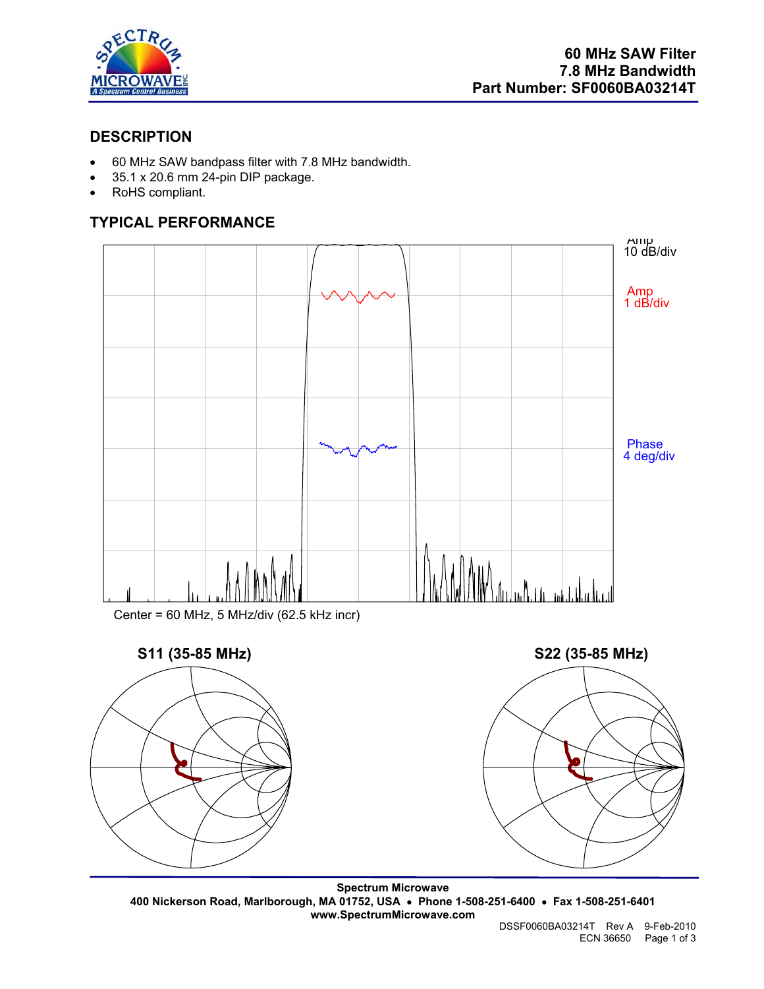

## **DESCRIPTION**

- 60 MHz SAW bandpass filter with 7.8 MHz bandwidth.
- 35.1 x 20.6 mm 24-pin DIP package.
- RoHS compliant.

# **TYPICAL PERFORMANCE**



Center = 60 MHz, 5 MHz/div (62.5 kHz incr)



**Spectrum Microwave 400 Nickerson Road, Marlborough, MA 01752, USA** • **Phone 1-508-251-6400** • **Fax 1-508-251-6401 www.SpectrumMicrowave.com**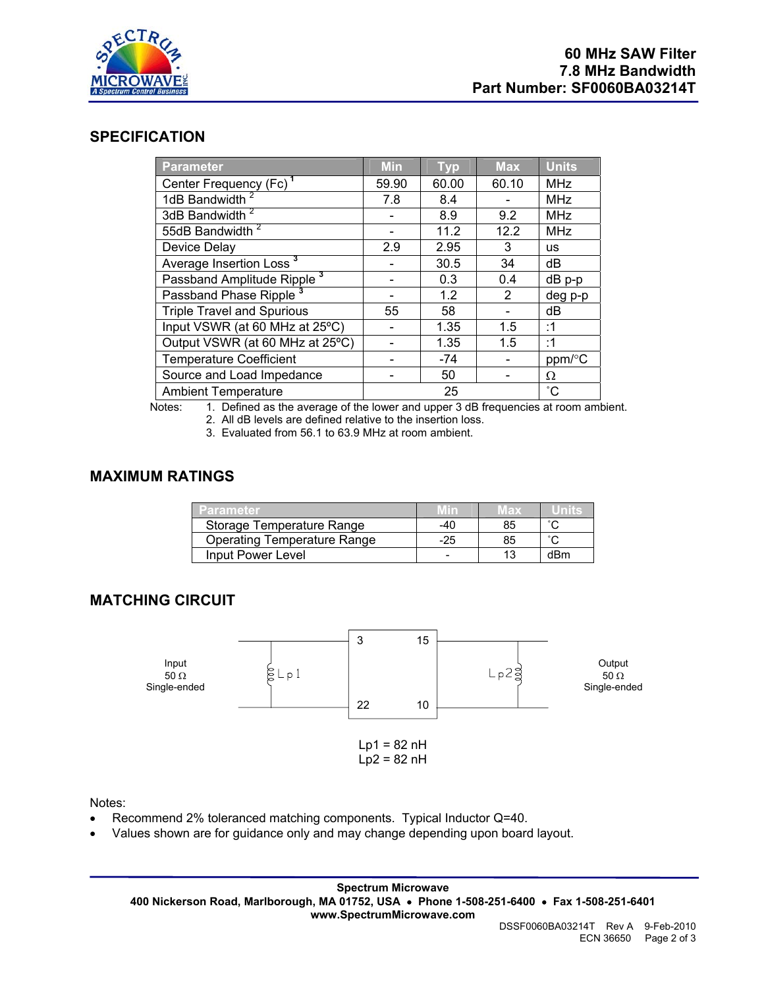

#### **SPECIFICATION**

| <b>Parameter</b>                       | <b>Min</b> | <b>Typ</b> | <b>Max</b> | <b>Units</b> |
|----------------------------------------|------------|------------|------------|--------------|
| Center Frequency (Fc) <sup>1</sup>     | 59.90      | 60.00      | 60.10      | <b>MHz</b>   |
| 1dB Bandwidth <sup>2</sup>             | 7.8        | 8.4        |            | <b>MHz</b>   |
| 3dB Bandwidth <sup>2</sup>             |            | 8.9        | 9.2        | <b>MHz</b>   |
| 55dB Bandwidth <sup>2</sup>            |            | 11.2       | 12.2       | <b>MHz</b>   |
| Device Delay                           | 2.9        | 2.95       | 3          | <b>us</b>    |
| Average Insertion Loss <sup>3</sup>    |            | 30.5       | 34         | dB           |
| Passband Amplitude Ripple <sup>3</sup> |            | 0.3        | 0.4        | dB p-p       |
| Passband Phase Ripple <sup>3</sup>     |            | 1.2        | 2          | deg p-p      |
| <b>Triple Travel and Spurious</b>      | 55         | 58         |            | dB           |
| Input VSWR (at 60 MHz at 25°C)         |            | 1.35       | 1.5        | :1           |
| Output VSWR (at 60 MHz at 25°C)        |            | 1.35       | 1.5        | :1           |
| <b>Temperature Coefficient</b>         |            | -74        |            | ppm/°C       |
| Source and Load Impedance              |            | 50         |            | Ω            |
| <b>Ambient Temperature</b>             |            | 25         |            | $^{\circ}$ C |

Notes: 1. Defined as the average of the lower and upper 3 dB frequencies at room ambient.

2. All dB levels are defined relative to the insertion loss.

3. Evaluated from 56.1 to 63.9 MHz at room ambient.

#### **MAXIMUM RATINGS**

| Parameter                          |     | $V$ ax |                     |
|------------------------------------|-----|--------|---------------------|
| Storage Temperature Range          | -40 | 85     |                     |
| <b>Operating Temperature Range</b> | -25 | 85     | $\hat{\phantom{a}}$ |
| Input Power Level                  |     |        | dRm                 |

### **MATCHING CIRCUIT**



Notes:

- Recommend 2% toleranced matching components. Typical Inductor Q=40.
- Values shown are for guidance only and may change depending upon board layout.